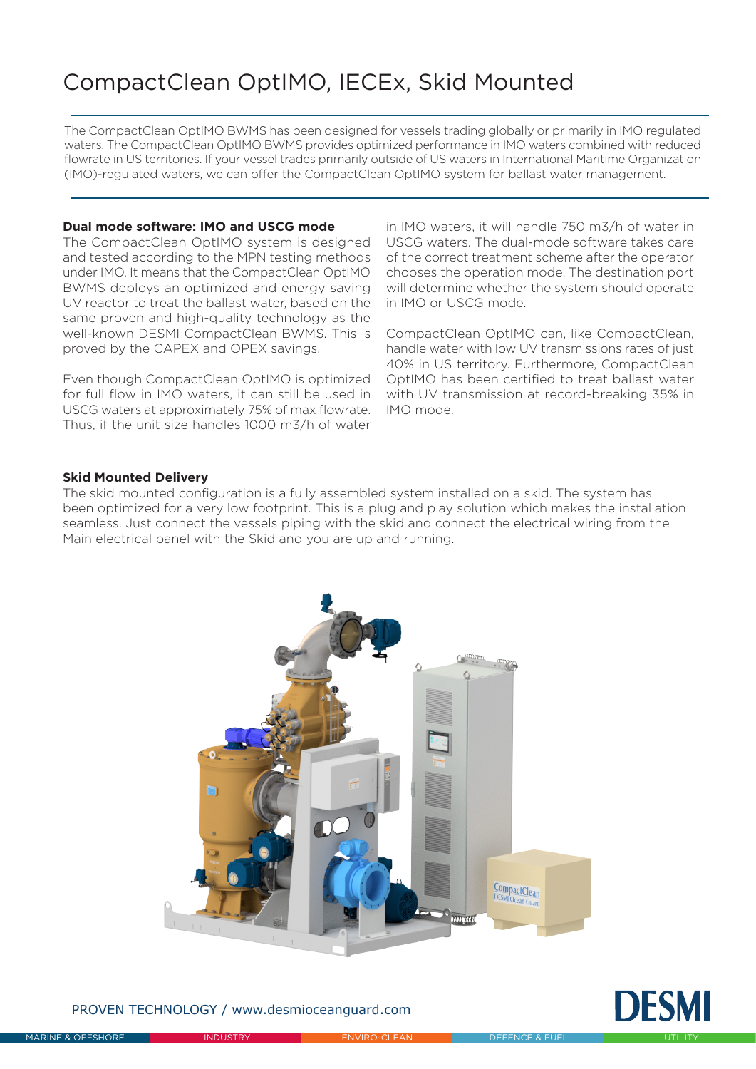## CompactClean OptIMO, IECEx, Skid Mounted

The CompactClean OptIMO BWMS has been designed for vessels trading globally or primarily in IMO regulated waters. The CompactClean OptIMO BWMS provides optimized performance in IMO waters combined with reduced flowrate in US territories. If your vessel trades primarily outside of US waters in International Maritime Organization (IMO)-regulated waters, we can offer the CompactClean OptIMO system for ballast water management.

## **Dual mode software: IMO and USCG mode**

The CompactClean OptIMO system is designed and tested according to the MPN testing methods under IMO. It means that the CompactClean OptIMO BWMS deploys an optimized and energy saving UV reactor to treat the ballast water, based on the same proven and high-quality technology as the well-known DESMI CompactClean BWMS. This is proved by the CAPEX and OPEX savings.

Even though CompactClean OptIMO is optimized for full flow in IMO waters, it can still be used in USCG waters at approximately 75% of max flowrate. Thus, if the unit size handles 1000 m3/h of water

in IMO waters, it will handle 750 m3/h of water in USCG waters. The dual-mode software takes care of the correct treatment scheme after the operator chooses the operation mode. The destination port will determine whether the system should operate in IMO or USCG mode.

CompactClean OptIMO can, like CompactClean, handle water with low UV transmissions rates of just 40% in US territory. Furthermore, CompactClean OptIMO has been certified to treat ballast water with UV transmission at record-breaking 35% in IMO mode.

## **Skid Mounted Delivery**

The skid mounted configuration is a fully assembled system installed on a skid. The system has been optimized for a very low footprint. This is a plug and play solution which makes the installation seamless. Just connect the vessels piping with the skid and connect the electrical wiring from the Main electrical panel with the Skid and you are up and running.



PROVEN TECHNOLOGY / www.desmioceanguard.com